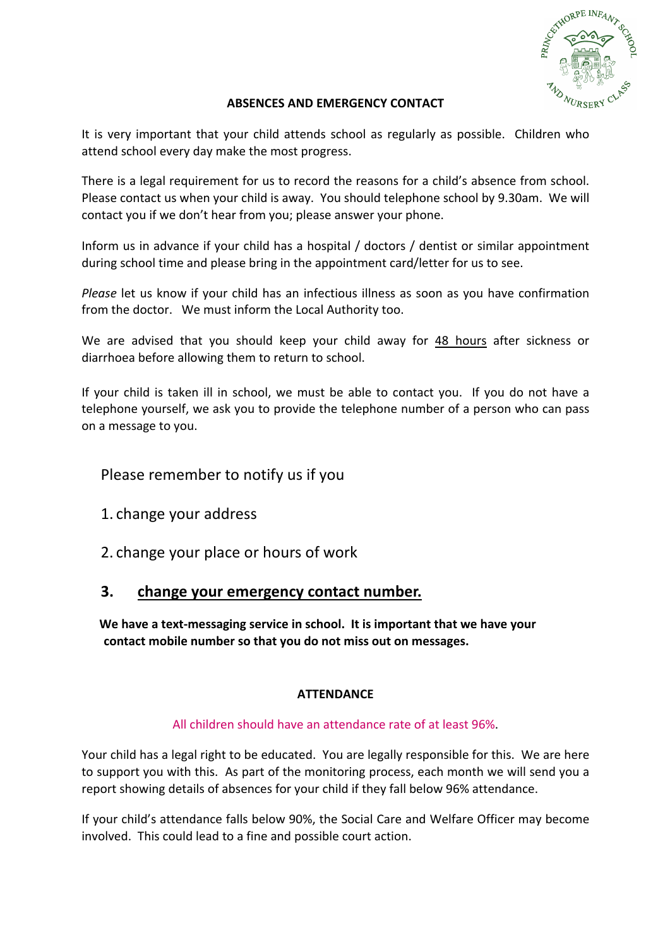

### **ABSENCES AND EMERGENCY CONTACT**

It is very important that your child attends school as regularly as possible. Children who attend school every day make the most progress.

There is a legal requirement for us to record the reasons for a child's absence from school. Please contact us when your child is away. You should telephone school by 9.30am. We will contact you if we don't hear from you; please answer your phone.

Inform us in advance if your child has a hospital / doctors / dentist or similar appointment during school time and please bring in the appointment card/letter for us to see.

*Please* let us know if your child has an infectious illness as soon as you have confirmation from the doctor. We must inform the Local Authority too.

We are advised that you should keep your child away for 48 hours after sickness or diarrhoea before allowing them to return to school.

If your child is taken ill in school, we must be able to contact you. If you do not have a telephone yourself, we ask you to provide the telephone number of a person who can pass on a message to you.

Please remember to notify us if you

1. change your address

2. change your place or hours of work

# **3. change your emergency contact number.**

We have a text-messaging service in school. It is important that we have your contact mobile number so that you do not miss out on messages.

# **ATTENDANCE**

# All children should have an attendance rate of at least 96%.

Your child has a legal right to be educated. You are legally responsible for this. We are here to support you with this. As part of the monitoring process, each month we will send you a report showing details of absences for your child if they fall below 96% attendance.

If your child's attendance falls below 90%, the Social Care and Welfare Officer may become involved. This could lead to a fine and possible court action.